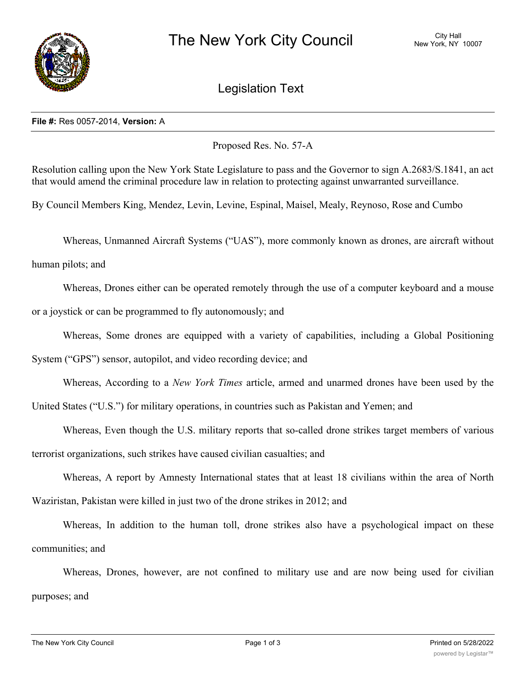

## Legislation Text

## **File #:** Res 0057-2014, **Version:** A

Proposed Res. No. 57-A

Resolution calling upon the New York State Legislature to pass and the Governor to sign A.2683/S.1841, an act that would amend the criminal procedure law in relation to protecting against unwarranted surveillance.

By Council Members King, Mendez, Levin, Levine, Espinal, Maisel, Mealy, Reynoso, Rose and Cumbo

Whereas, Unmanned Aircraft Systems ("UAS"), more commonly known as drones, are aircraft without

human pilots; and

Whereas, Drones either can be operated remotely through the use of a computer keyboard and a mouse or a joystick or can be programmed to fly autonomously; and

Whereas, Some drones are equipped with a variety of capabilities, including a Global Positioning

System ("GPS") sensor, autopilot, and video recording device; and

Whereas, According to a *New York Times* article, armed and unarmed drones have been used by the

United States ("U.S.") for military operations, in countries such as Pakistan and Yemen; and

Whereas, Even though the U.S. military reports that so-called drone strikes target members of various terrorist organizations, such strikes have caused civilian casualties; and

Whereas, A report by Amnesty International states that at least 18 civilians within the area of North Waziristan, Pakistan were killed in just two of the drone strikes in 2012; and

Whereas, In addition to the human toll, drone strikes also have a psychological impact on these communities; and

Whereas, Drones, however, are not confined to military use and are now being used for civilian purposes; and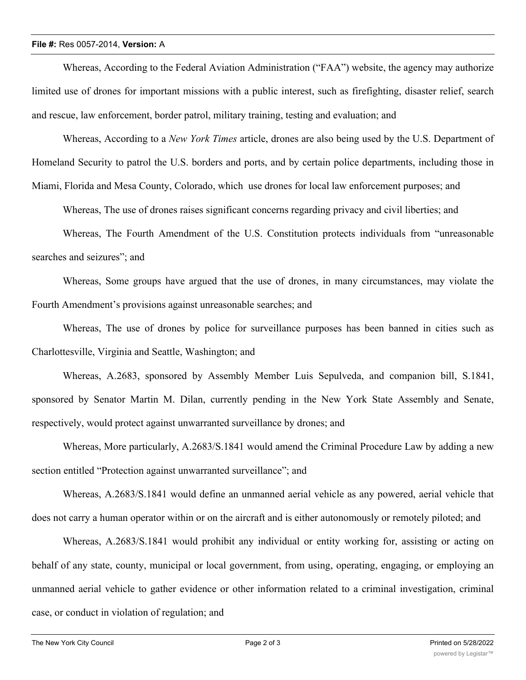## **File #:** Res 0057-2014, **Version:** A

Whereas, According to the Federal Aviation Administration ("FAA") website, the agency may authorize limited use of drones for important missions with a public interest, such as firefighting, disaster relief, search and rescue, law enforcement, border patrol, military training, testing and evaluation; and

Whereas, According to a *New York Times* article, drones are also being used by the U.S. Department of Homeland Security to patrol the U.S. borders and ports, and by certain police departments, including those in

Miami, Florida and Mesa County, Colorado, which use drones for local law enforcement purposes; and

Whereas, The use of drones raises significant concerns regarding privacy and civil liberties; and

Whereas, The Fourth Amendment of the U.S. Constitution protects individuals from "unreasonable searches and seizures"; and

Whereas, Some groups have argued that the use of drones, in many circumstances, may violate the Fourth Amendment's provisions against unreasonable searches; and

Whereas, The use of drones by police for surveillance purposes has been banned in cities such as Charlottesville, Virginia and Seattle, Washington; and

Whereas, A.2683, sponsored by Assembly Member Luis Sepulveda, and companion bill, S.1841, sponsored by Senator Martin M. Dilan, currently pending in the New York State Assembly and Senate, respectively, would protect against unwarranted surveillance by drones; and

Whereas, More particularly, A.2683/S.1841 would amend the Criminal Procedure Law by adding a new section entitled "Protection against unwarranted surveillance"; and

Whereas, A.2683/S.1841 would define an unmanned aerial vehicle as any powered, aerial vehicle that does not carry a human operator within or on the aircraft and is either autonomously or remotely piloted; and

Whereas, A.2683/S.1841 would prohibit any individual or entity working for, assisting or acting on behalf of any state, county, municipal or local government, from using, operating, engaging, or employing an unmanned aerial vehicle to gather evidence or other information related to a criminal investigation, criminal case, or conduct in violation of regulation; and